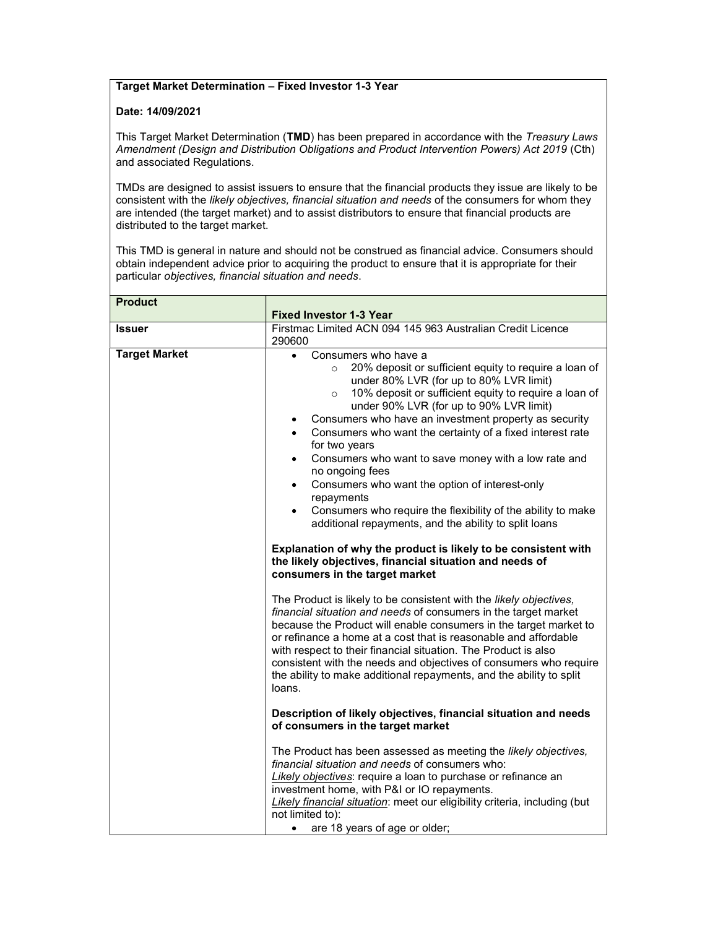## Target Market Determination – Fixed Investor 1-3 Year

## Date: 14/09/2021

This Target Market Determination (TMD) has been prepared in accordance with the Treasury Laws Amendment (Design and Distribution Obligations and Product Intervention Powers) Act 2019 (Cth) and associated Regulations.

TMDs are designed to assist issuers to ensure that the financial products they issue are likely to be consistent with the likely objectives, financial situation and needs of the consumers for whom they are intended (the target market) and to assist distributors to ensure that financial products are distributed to the target market.

This TMD is general in nature and should not be construed as financial advice. Consumers should obtain independent advice prior to acquiring the product to ensure that it is appropriate for their particular objectives, financial situation and needs.

| <b>Product</b>       |                                                                                                                                                                                                                                                                                                                                                                                                                                                                                                       |
|----------------------|-------------------------------------------------------------------------------------------------------------------------------------------------------------------------------------------------------------------------------------------------------------------------------------------------------------------------------------------------------------------------------------------------------------------------------------------------------------------------------------------------------|
|                      | <b>Fixed Investor 1-3 Year</b>                                                                                                                                                                                                                                                                                                                                                                                                                                                                        |
| <b>Issuer</b>        | Firstmac Limited ACN 094 145 963 Australian Credit Licence                                                                                                                                                                                                                                                                                                                                                                                                                                            |
|                      | 290600                                                                                                                                                                                                                                                                                                                                                                                                                                                                                                |
| <b>Target Market</b> | Consumers who have a<br>20% deposit or sufficient equity to require a loan of<br>$\circ$<br>under 80% LVR (for up to 80% LVR limit)<br>10% deposit or sufficient equity to require a loan of<br>$\circ$                                                                                                                                                                                                                                                                                               |
|                      | under 90% LVR (for up to 90% LVR limit)                                                                                                                                                                                                                                                                                                                                                                                                                                                               |
|                      | Consumers who have an investment property as security<br>$\bullet$                                                                                                                                                                                                                                                                                                                                                                                                                                    |
|                      | Consumers who want the certainty of a fixed interest rate<br>for two years                                                                                                                                                                                                                                                                                                                                                                                                                            |
|                      | Consumers who want to save money with a low rate and<br>$\bullet$<br>no ongoing fees                                                                                                                                                                                                                                                                                                                                                                                                                  |
|                      | Consumers who want the option of interest-only<br>$\bullet$<br>repayments                                                                                                                                                                                                                                                                                                                                                                                                                             |
|                      | Consumers who require the flexibility of the ability to make<br>$\bullet$<br>additional repayments, and the ability to split loans                                                                                                                                                                                                                                                                                                                                                                    |
|                      | Explanation of why the product is likely to be consistent with<br>the likely objectives, financial situation and needs of<br>consumers in the target market                                                                                                                                                                                                                                                                                                                                           |
|                      | The Product is likely to be consistent with the likely objectives,<br>financial situation and needs of consumers in the target market<br>because the Product will enable consumers in the target market to<br>or refinance a home at a cost that is reasonable and affordable<br>with respect to their financial situation. The Product is also<br>consistent with the needs and objectives of consumers who require<br>the ability to make additional repayments, and the ability to split<br>loans. |
|                      | Description of likely objectives, financial situation and needs<br>of consumers in the target market                                                                                                                                                                                                                                                                                                                                                                                                  |
|                      | The Product has been assessed as meeting the likely objectives,<br>financial situation and needs of consumers who:<br>Likely objectives: require a loan to purchase or refinance an                                                                                                                                                                                                                                                                                                                   |
|                      | investment home, with P&I or IO repayments.<br>Likely financial situation: meet our eligibility criteria, including (but<br>not limited to):                                                                                                                                                                                                                                                                                                                                                          |
|                      | are 18 years of age or older;<br>$\bullet$                                                                                                                                                                                                                                                                                                                                                                                                                                                            |